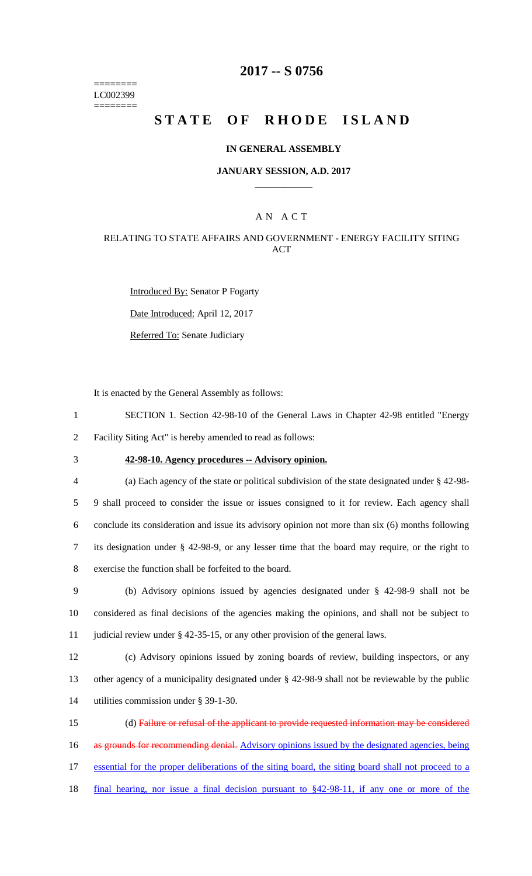======== LC002399 ========

# **2017 -- S 0756**

# STATE OF RHODE ISLAND

#### **IN GENERAL ASSEMBLY**

#### **JANUARY SESSION, A.D. 2017 \_\_\_\_\_\_\_\_\_\_\_\_**

### A N A C T

### RELATING TO STATE AFFAIRS AND GOVERNMENT - ENERGY FACILITY SITING ACT

Introduced By: Senator P Fogarty Date Introduced: April 12, 2017 Referred To: Senate Judiciary

It is enacted by the General Assembly as follows:

1 SECTION 1. Section 42-98-10 of the General Laws in Chapter 42-98 entitled "Energy 2 Facility Siting Act" is hereby amended to read as follows:

3 **42-98-10. Agency procedures -- Advisory opinion.**

 (a) Each agency of the state or political subdivision of the state designated under § 42-98- 9 shall proceed to consider the issue or issues consigned to it for review. Each agency shall conclude its consideration and issue its advisory opinion not more than six (6) months following its designation under § 42-98-9, or any lesser time that the board may require, or the right to exercise the function shall be forfeited to the board.

9 (b) Advisory opinions issued by agencies designated under § 42-98-9 shall not be 10 considered as final decisions of the agencies making the opinions, and shall not be subject to 11 judicial review under § 42-35-15, or any other provision of the general laws.

12 (c) Advisory opinions issued by zoning boards of review, building inspectors, or any 13 other agency of a municipality designated under § 42-98-9 shall not be reviewable by the public 14 utilities commission under § 39-1-30.

 (d) Failure or refusal of the applicant to provide requested information may be considered 16 as grounds for recommending denial. Advisory opinions issued by the designated agencies, being essential for the proper deliberations of the siting board, the siting board shall not proceed to a final hearing, nor issue a final decision pursuant to §42-98-11, if any one or more of the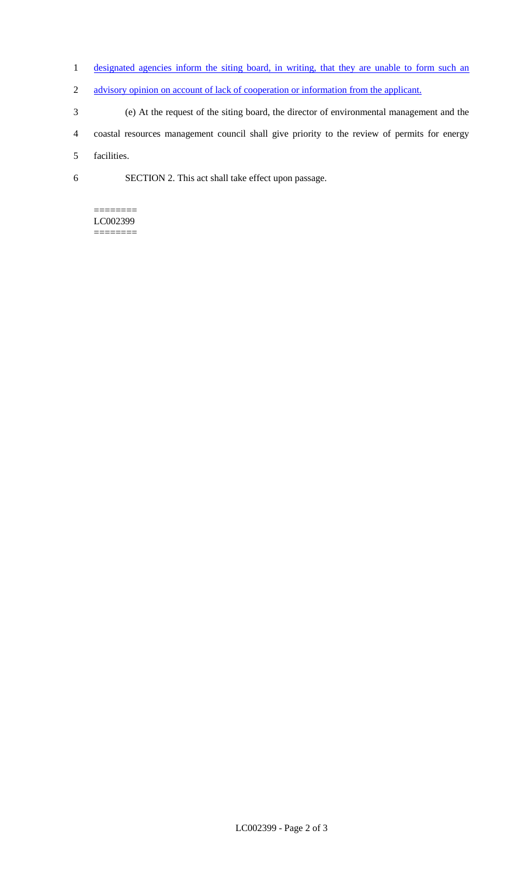- 1 designated agencies inform the siting board, in writing, that they are unable to form such an
- 2 advisory opinion on account of lack of cooperation or information from the applicant.
- 3 (e) At the request of the siting board, the director of environmental management and the
- 4 coastal resources management council shall give priority to the review of permits for energy

5 facilities.

6 SECTION 2. This act shall take effect upon passage.

#### ======== LC002399

========